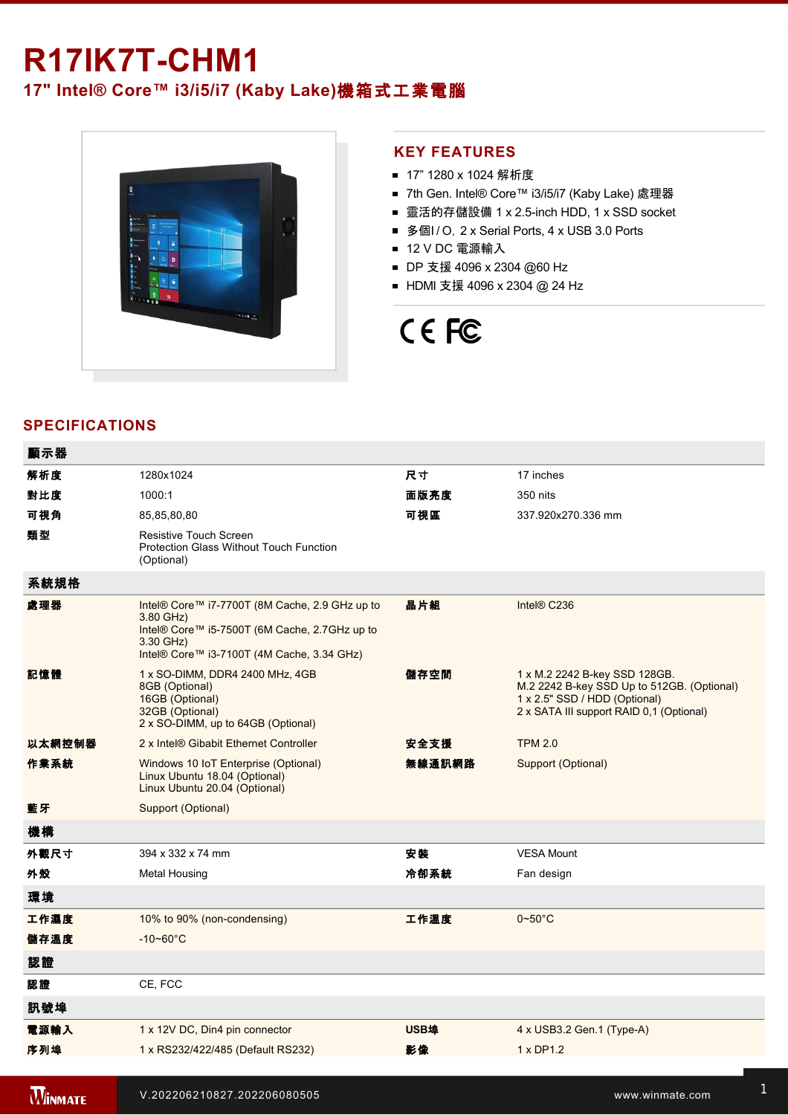## **R17IK7T-CHM1**

### **17" Intel® Core™ i3/i5/i7 (Kaby Lake)**機箱式工業電腦



### **KEY FEATURES**

- 17" 1280 x 1024 解析度
- 7th Gen. Intel® Core™ i3/i5/i7 (Kaby Lake) 處理器
- 靈活的存儲設備 1 x 2.5-inch HDD, 1 x SSD socket
- 多個I/O, 2 x Serial Ports, 4 x USB 3.0 Ports
- 12 V DC 電源輸入
- DP 支援 4096 x 2304 @60 Hz
- HDMI 支援 4096 x 2304 @ 24 Hz

# CE FC

### **SPECIFICATIONS**

| 顯示器            |                                                                                                                                                                         |             |                                                                                                                                                          |
|----------------|-------------------------------------------------------------------------------------------------------------------------------------------------------------------------|-------------|----------------------------------------------------------------------------------------------------------------------------------------------------------|
| 解析度            | 1280x1024                                                                                                                                                               | 尺寸          | 17 inches                                                                                                                                                |
| 對比度            | 1000:1                                                                                                                                                                  | 面版亮度        | 350 nits                                                                                                                                                 |
| 可視角            | 85,85,80,80                                                                                                                                                             | 可視區         | 337.920x270.336 mm                                                                                                                                       |
| 類型             | Resistive Touch Screen<br><b>Protection Glass Without Touch Function</b><br>(Optional)                                                                                  |             |                                                                                                                                                          |
| 系統規格           |                                                                                                                                                                         |             |                                                                                                                                                          |
| 處理器            | Intel® Core™ i7-7700T (8M Cache, 2.9 GHz up to<br>3.80 GHz)<br>Intel® Core™ i5-7500T (6M Cache, 2.7GHz up to<br>3.30 GHz)<br>Intel® Core™ i3-7100T (4M Cache, 3.34 GHz) | 晶片組         | Intel® C236                                                                                                                                              |
| 記憶體            | 1 x SO-DIMM, DDR4 2400 MHz, 4GB<br>8GB (Optional)<br>16GB (Optional)<br>32GB (Optional)<br>2 x SO-DIMM, up to 64GB (Optional)                                           | 儲存空間        | 1 x M.2 2242 B-key SSD 128GB.<br>M.2 2242 B-key SSD Up to 512GB. (Optional)<br>1 x 2.5" SSD / HDD (Optional)<br>2 x SATA III support RAID 0,1 (Optional) |
| 以太網控制器         | 2 x Intel® Gibabit Ethernet Controller                                                                                                                                  | 安全支援        | <b>TPM 2.0</b>                                                                                                                                           |
| 作業系統           | Windows 10 IoT Enterprise (Optional)<br>Linux Ubuntu 18.04 (Optional)<br>Linux Ubuntu 20.04 (Optional)                                                                  | 無線通訊網路      | Support (Optional)                                                                                                                                       |
| 藍牙             | Support (Optional)                                                                                                                                                      |             |                                                                                                                                                          |
| 機構             |                                                                                                                                                                         |             |                                                                                                                                                          |
| 外觀尺寸           | 394 x 332 x 74 mm                                                                                                                                                       | 安裝          | <b>VESA Mount</b>                                                                                                                                        |
| 外殼             | <b>Metal Housing</b>                                                                                                                                                    | 冷卻系統        | Fan design                                                                                                                                               |
| 環境             |                                                                                                                                                                         |             |                                                                                                                                                          |
| 工作濕度           | 10% to 90% (non-condensing)                                                                                                                                             | 工作溫度        | $0\nightharpoonup 50^\circ C$                                                                                                                            |
| 儲存溫度           | $-10 - 60^{\circ}$ C                                                                                                                                                    |             |                                                                                                                                                          |
| 認證             |                                                                                                                                                                         |             |                                                                                                                                                          |
| 認證             | CE, FCC                                                                                                                                                                 |             |                                                                                                                                                          |
| 訊號埠            |                                                                                                                                                                         |             |                                                                                                                                                          |
| 電源輸入           | 1 x 12V DC, Din4 pin connector                                                                                                                                          | <b>USB埠</b> | 4 x USB3.2 Gen.1 (Type-A)                                                                                                                                |
| 序列埠            | 1 x RS232/422/485 (Default RS232)                                                                                                                                       | 影像          | 1 x DP1.2                                                                                                                                                |
|                |                                                                                                                                                                         |             |                                                                                                                                                          |
| <b>WINMATE</b> | V.202206210827.202206080505                                                                                                                                             |             | www.winmate.com                                                                                                                                          |